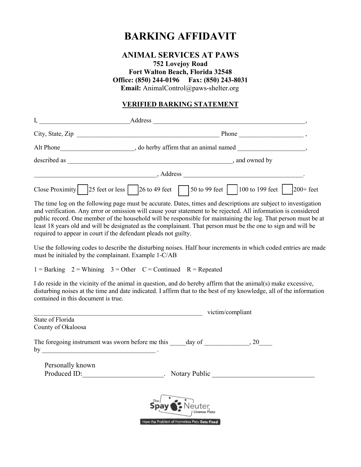## BARKING AFFIDAVIT

## ANIMAL SERVICES AT PAWS

## 752 Lovejoy Road Fort Walton Beach, Florida 32548 Office: (850) 244-0196 Fax: (850) 243-8031 Email: AnimalControl@paws-shelter.org

## VERIFIED BARKING STATEMENT

| <u> 1990 - Jan Stein Harry Stein Harry Stein Harry Stein Harry Stein Harry Stein Harry Stein Harry Stein Harry St</u> | Address                                                                                                   |
|-----------------------------------------------------------------------------------------------------------------------|-----------------------------------------------------------------------------------------------------------|
| City, State, Zip                                                                                                      | Phone                                                                                                     |
| Alt Phone                                                                                                             | , do herby affirm that an animal named                                                                    |
| described as                                                                                                          | , and owned by                                                                                            |
|                                                                                                                       | , Address                                                                                                 |
| Close Proximity                                                                                                       | 50 to 99 feet     100 to 199 feet<br>$25$ feet or less<br>$26 \text{ to } 49 \text{ feet}$<br>$200+$ feet |

The time log on the following page must be accurate. Dates, times and descriptions are subject to investigation and verification. Any error or omission will cause your statement to be rejected. All information is considered public record. One member of the household will be responsible for maintaining the log. That person must be at least 18 years old and will be designated as the complainant. That person must be the one to sign and will be required to appear in court if the defendant pleads not guilty.

Use the following codes to describe the disturbing noises. Half hour increments in which coded entries are made must be initialed by the complainant. Example 1-C/AB

 $1 =$ Barking  $2 =$ Whining  $3 =$ Other C = Continued R = Repeated

I do reside in the vicinity of the animal in question, and do hereby affirm that the animal(s) make excessive, disturbing noises at the time and date indicated. I affirm that to the best of my knowledge, all of the information contained in this document is true.

|                                                                                                                                                      | victim/compliant |
|------------------------------------------------------------------------------------------------------------------------------------------------------|------------------|
| State of Florida                                                                                                                                     |                  |
| County of Okaloosa                                                                                                                                   |                  |
| The foregoing instrument was sworn before me this day of 20<br>by<br>the contract of the contract of the contract of the contract of the contract of |                  |
| Personally known<br>Produced ID:<br>Notary Public                                                                                                    |                  |
| spay(<br>• Neuter                                                                                                                                    |                  |

How the Problem of Homeless Pets Gets Fixed